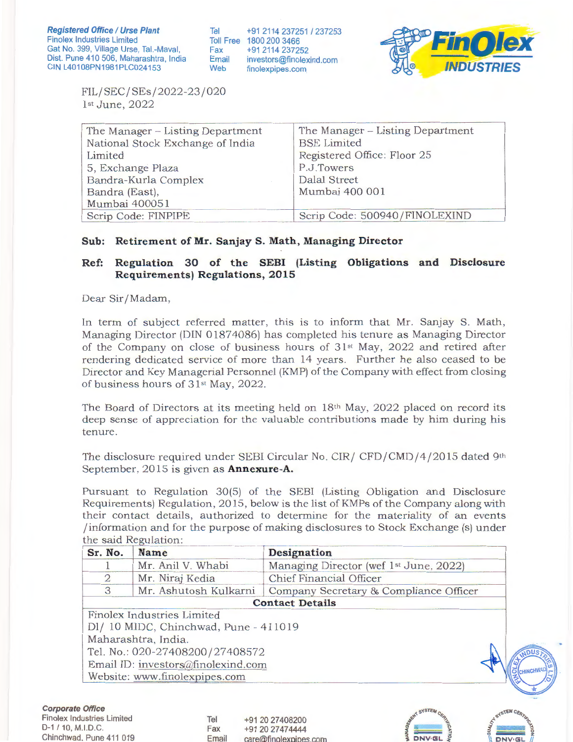Tel Toll Free 1800 200 3466 Fax Email Web +91 2114 237251 / 237253 +91 2114 237252 investors@finolexind.com finolexpipes.com



FIL/SEC/ SEs/2022-23 /020 1st June, 2022

| The Manager – Listing Department | The Manager – Listing Department<br><b>BSE</b> Limited |
|----------------------------------|--------------------------------------------------------|
| National Stock Exchange of India |                                                        |
| Limited                          | Registered Office: Floor 25                            |
| 5, Exchange Plaza                | P.J.Towers                                             |
| Bandra-Kurla Complex             | <b>Dalal Street</b>                                    |
| Bandra (East),                   | Mumbai 400 001                                         |
| Mumbai 400051                    |                                                        |
| Scrip Code: FINPIPE              | Scrip Code: 500940/FINOLEXIND                          |
|                                  |                                                        |

## **Sub: Retirement of Mr. Sanjay S. Math, Managing Director**

## **Ref: Regulation 30 of the SEBI (Listing Obligations and Disclosure Requirements) Regulations, 2015**

Dear Sir/Madam,

In term of subject referred matter, this is to inform that Mr. Sanjay S. Math, Managing Director (DIN 01874086) has completed his tenure as Managing Director of the Company on close of business hours of  $31<sup>st</sup>$  May, 2022 and retired after rendering dedicated service of more than 14 years. Further he also ceased to be Director and Key Managerial Personnel (KMP) of the Company with effect from closing of business hours of 31<sup>st</sup> May, 2022.

The Board of Directors at its meeting held on 18th May, 2022 placed on record its deep sense of appreciation for the valuable contributions made by him during his tenure.

The disclosure required under SEBI Circular No. CIR/ CFD/CMD/4/2015 dated 9th September, 2015 is given as **Annexure-A.** 

Pursuant to Regulation 30(5) of the SEBI (Listing Obligation and Disclosure Requirements) Regulation, 2015, below is the list of KMPs of the Company along with their contact details, authorized to determine for the materiality of an events /information and for the purpose of making disclosures to Stock Exchange (s) under the said Regulation:

| Sr. No.        | Name                                  | Designation                                        |  |
|----------------|---------------------------------------|----------------------------------------------------|--|
|                | Mr. Anil V. Whabi                     | Managing Director (wef 1 <sup>st</sup> June, 2022) |  |
| $\overline{2}$ | Mr. Niraj Kedia                       | Chief Financial Officer                            |  |
| 3              | Mr. Ashutosh Kulkarni                 | Company Secretary & Compliance Officer             |  |
|                |                                       | <b>Contact Details</b>                             |  |
|                | Finolex Industries Limited            |                                                    |  |
|                | Dl/ 10 MIDC, Chinchwad, Pune - 411019 |                                                    |  |
|                | Maharashtra, India.                   |                                                    |  |
|                | Tel. No.: 020-27408200/27408572       |                                                    |  |
|                | Email ID: investors@finolexind.com    |                                                    |  |
|                | Website: www.finolexpipes.com         |                                                    |  |

Tel Fax Email

+91 20 27408200 +91 20 27474444 care@finolexoioes.com



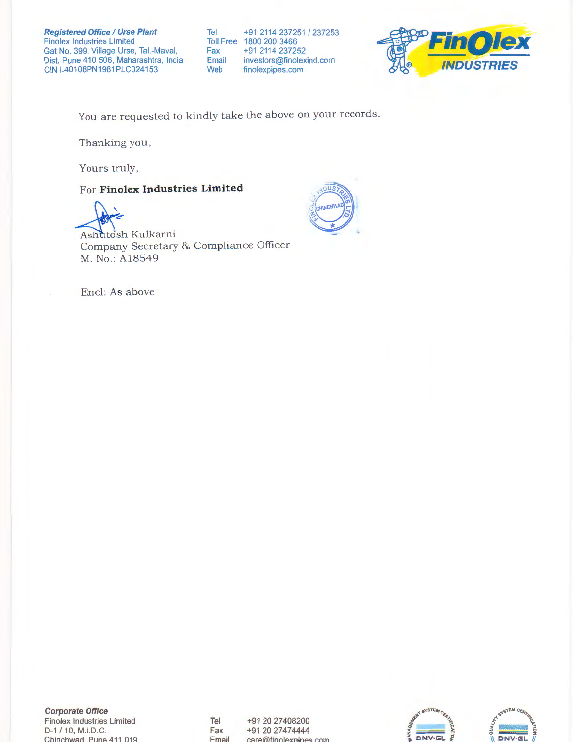**Registered Office / Urse Plant** Finolex Industries Limited Gat No. 399, Village Urse, Tal.-Maval, Dist. Pune 410 506, Maharashtra, India CIN L40108PN1981PLC024153

Tel Toll Free 1800 200 3466 Fax Email Web +91 2114 237251 / 237253 +91 2114 237252 investors@finolexind.com finolexpipes.com



You are requested to kindly take the above on your records.

Thanking you ,

Yours truly,

## For **Finolex Industries Limited**



Ashutosh Kulkarni Company Secretary & Compliance Officer M. No.: Al 8549



**Corporate Office**  Finolex Industries Limited D-1 / 10, M.I.D.C. Chinchwad. Pune 411 019

Tel Fax Email +91 20 27408200 +91 20 27474444 care@finolexoioes.com